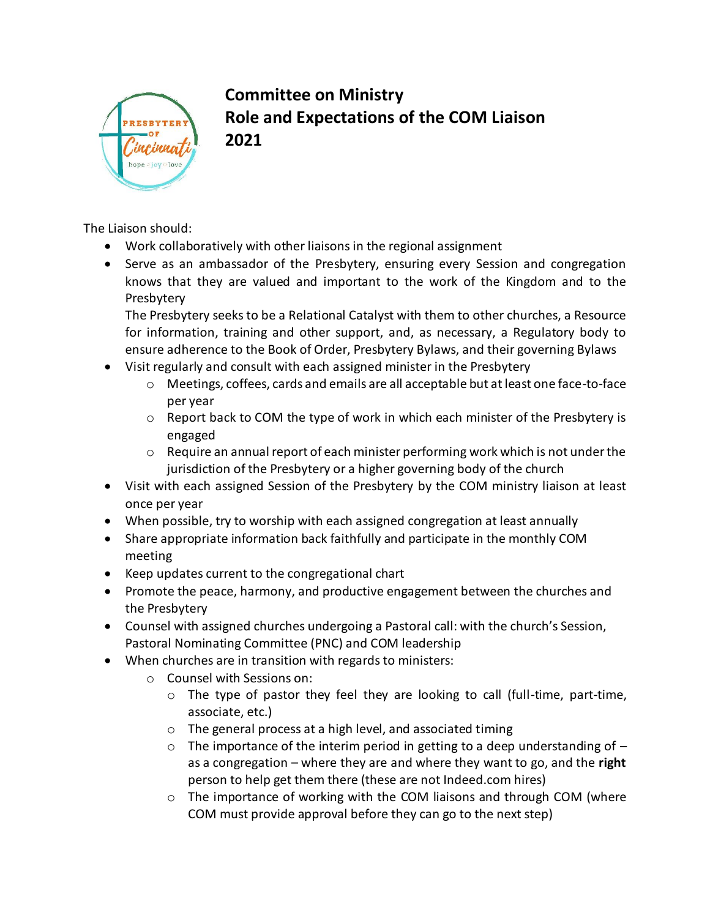

## **Committee on Ministry Role and Expectations of the COM Liaison 2021**

The Liaison should:

- Work collaboratively with other liaisons in the regional assignment
- Serve as an ambassador of the Presbytery, ensuring every Session and congregation knows that they are valued and important to the work of the Kingdom and to the Presbytery

The Presbytery seeks to be a Relational Catalyst with them to other churches, a Resource for information, training and other support, and, as necessary, a Regulatory body to ensure adherence to the Book of Order, Presbytery Bylaws, and their governing Bylaws

- Visit regularly and consult with each assigned minister in the Presbytery
	- o Meetings, coffees, cards and emails are all acceptable but at least one face-to-face per year
	- $\circ$  Report back to COM the type of work in which each minister of the Presbytery is engaged
	- $\circ$  Require an annual report of each minister performing work which is not under the jurisdiction of the Presbytery or a higher governing body of the church
- Visit with each assigned Session of the Presbytery by the COM ministry liaison at least once per year
- When possible, try to worship with each assigned congregation at least annually
- Share appropriate information back faithfully and participate in the monthly COM meeting
- Keep updates current to the congregational chart
- Promote the peace, harmony, and productive engagement between the churches and the Presbytery
- Counsel with assigned churches undergoing a Pastoral call: with the church's Session, Pastoral Nominating Committee (PNC) and COM leadership
- When churches are in transition with regards to ministers:
	- o Counsel with Sessions on:
		- o The type of pastor they feel they are looking to call (full-time, part-time, associate, etc.)
		- o The general process at a high level, and associated timing
		- $\circ$  The importance of the interim period in getting to a deep understanding of  $$ as a congregation – where they are and where they want to go, and the **right** person to help get them there (these are not Indeed.com hires)
		- o The importance of working with the COM liaisons and through COM (where COM must provide approval before they can go to the next step)